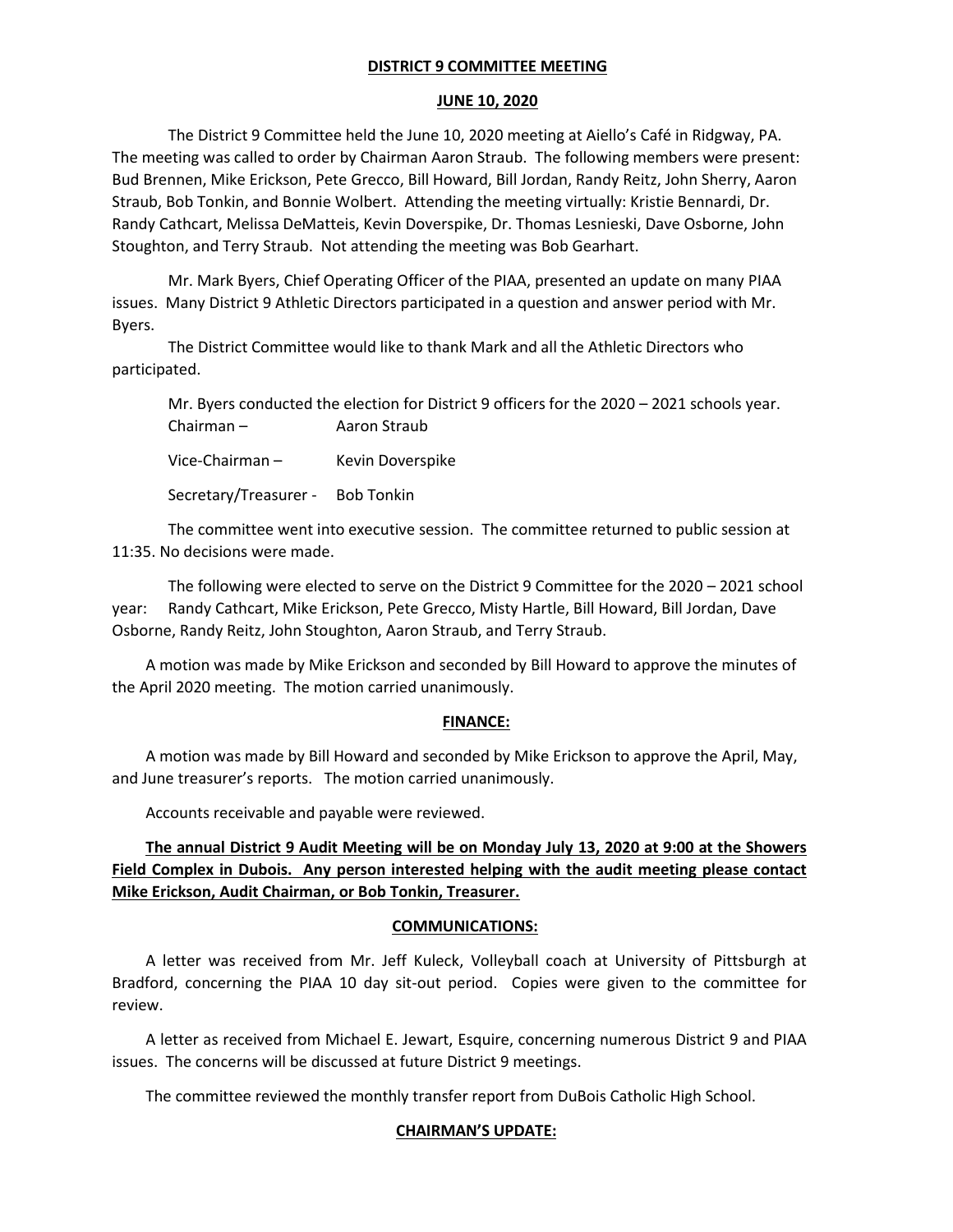### **DISTRICT 9 COMMITTEE MEETING**

### **JUNE 10, 2020**

The District 9 Committee held the June 10, 2020 meeting at Aiello's Café in Ridgway, PA. The meeting was called to order by Chairman Aaron Straub. The following members were present: Bud Brennen, Mike Erickson, Pete Grecco, Bill Howard, Bill Jordan, Randy Reitz, John Sherry, Aaron Straub, Bob Tonkin, and Bonnie Wolbert. Attending the meeting virtually: Kristie Bennardi, Dr. Randy Cathcart, Melissa DeMatteis, Kevin Doverspike, Dr. Thomas Lesnieski, Dave Osborne, John Stoughton, and Terry Straub. Not attending the meeting was Bob Gearhart.

Mr. Mark Byers, Chief Operating Officer of the PIAA, presented an update on many PIAA issues. Many District 9 Athletic Directors participated in a question and answer period with Mr. Byers.

The District Committee would like to thank Mark and all the Athletic Directors who participated.

| Mr. Byers conducted the election for District 9 officers for the 2020 - 2021 schools year. |                  |  |
|--------------------------------------------------------------------------------------------|------------------|--|
| Chairman –                                                                                 | Aaron Straub     |  |
| Vice-Chairman –                                                                            | Kevin Doverspike |  |

Secretary/Treasurer - Bob Tonkin

The committee went into executive session. The committee returned to public session at 11:35. No decisions were made.

The following were elected to serve on the District 9 Committee for the 2020 – 2021 school year: Randy Cathcart, Mike Erickson, Pete Grecco, Misty Hartle, Bill Howard, Bill Jordan, Dave Osborne, Randy Reitz, John Stoughton, Aaron Straub, and Terry Straub.

A motion was made by Mike Erickson and seconded by Bill Howard to approve the minutes of the April 2020 meeting. The motion carried unanimously.

# **FINANCE:**

A motion was made by Bill Howard and seconded by Mike Erickson to approve the April, May, and June treasurer's reports. The motion carried unanimously.

Accounts receivable and payable were reviewed.

**The annual District 9 Audit Meeting will be on Monday July 13, 2020 at 9:00 at the Showers Field Complex in Dubois. Any person interested helping with the audit meeting please contact Mike Erickson, Audit Chairman, or Bob Tonkin, Treasurer.**

### **COMMUNICATIONS:**

A letter was received from Mr. Jeff Kuleck, Volleyball coach at University of Pittsburgh at Bradford, concerning the PIAA 10 day sit-out period. Copies were given to the committee for review.

A letter as received from Michael E. Jewart, Esquire, concerning numerous District 9 and PIAA issues. The concerns will be discussed at future District 9 meetings.

The committee reviewed the monthly transfer report from DuBois Catholic High School.

# **CHAIRMAN'S UPDATE:**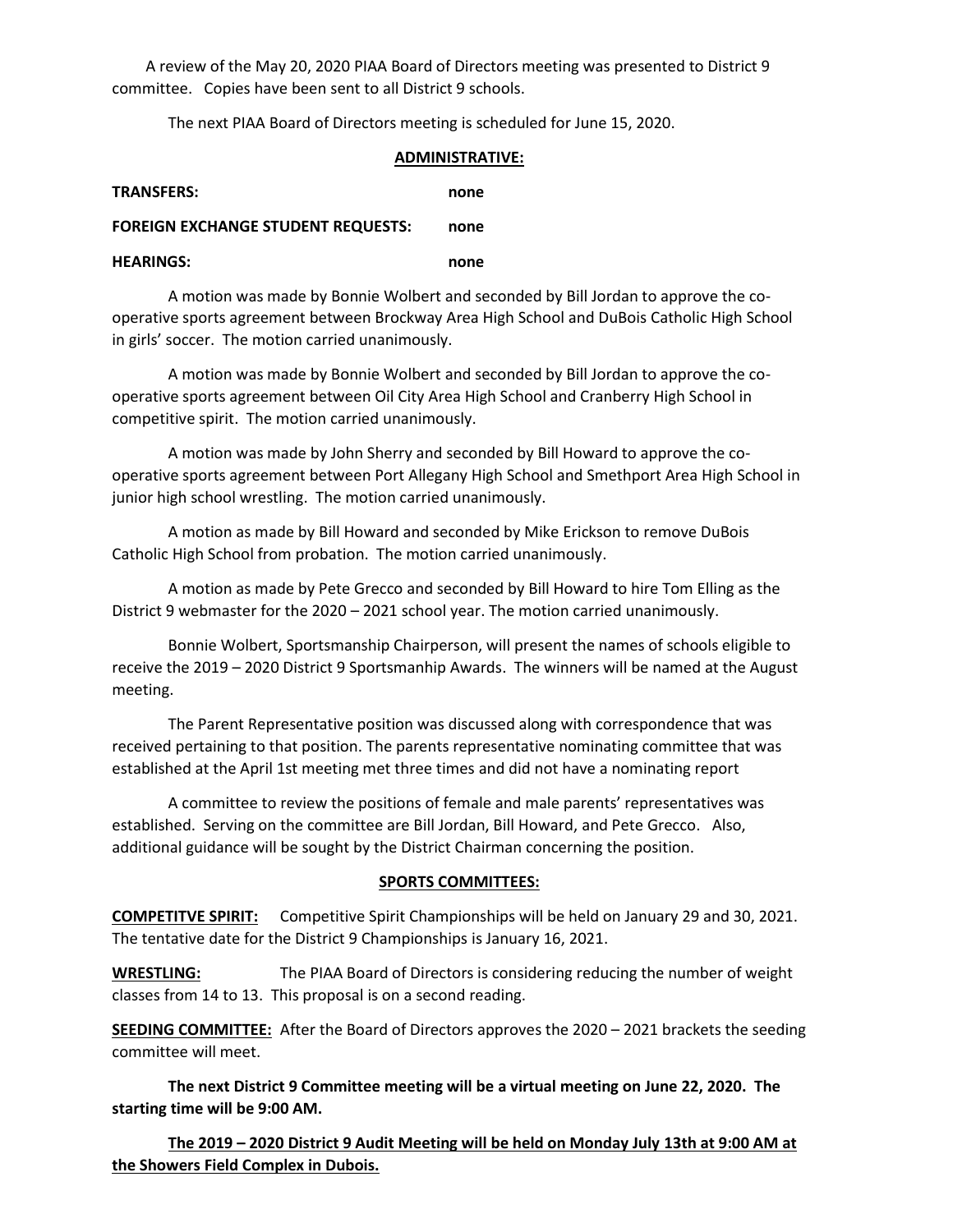A review of the May 20, 2020 PIAA Board of Directors meeting was presented to District 9 committee. Copies have been sent to all District 9 schools.

The next PIAA Board of Directors meeting is scheduled for June 15, 2020.

#### **ADMINISTRATIVE:**

| <b>TRANSFERS:</b>                         | none |
|-------------------------------------------|------|
| <b>FOREIGN EXCHANGE STUDENT REQUESTS:</b> | none |
| <b>HFARINGS:</b>                          | none |

A motion was made by Bonnie Wolbert and seconded by Bill Jordan to approve the cooperative sports agreement between Brockway Area High School and DuBois Catholic High School in girls' soccer. The motion carried unanimously.

A motion was made by Bonnie Wolbert and seconded by Bill Jordan to approve the cooperative sports agreement between Oil City Area High School and Cranberry High School in competitive spirit. The motion carried unanimously.

A motion was made by John Sherry and seconded by Bill Howard to approve the cooperative sports agreement between Port Allegany High School and Smethport Area High School in junior high school wrestling. The motion carried unanimously.

A motion as made by Bill Howard and seconded by Mike Erickson to remove DuBois Catholic High School from probation. The motion carried unanimously.

A motion as made by Pete Grecco and seconded by Bill Howard to hire Tom Elling as the District 9 webmaster for the 2020 – 2021 school year. The motion carried unanimously.

Bonnie Wolbert, Sportsmanship Chairperson, will present the names of schools eligible to receive the 2019 – 2020 District 9 Sportsmanhip Awards. The winners will be named at the August meeting.

The Parent Representative position was discussed along with correspondence that was received pertaining to that position. The parents representative nominating committee that was established at the April 1st meeting met three times and did not have a nominating report

A committee to review the positions of female and male parents' representatives was established. Serving on the committee are Bill Jordan, Bill Howard, and Pete Grecco. Also, additional guidance will be sought by the District Chairman concerning the position.

### **SPORTS COMMITTEES:**

**COMPETITVE SPIRIT:** Competitive Spirit Championships will be held on January 29 and 30, 2021. The tentative date for the District 9 Championships is January 16, 2021.

**WRESTLING:** The PIAA Board of Directors is considering reducing the number of weight classes from 14 to 13. This proposal is on a second reading.

**SEEDING COMMITTEE:** After the Board of Directors approves the 2020 – 2021 brackets the seeding committee will meet.

**The next District 9 Committee meeting will be a virtual meeting on June 22, 2020. The starting time will be 9:00 AM.** 

**The 2019 – 2020 District 9 Audit Meeting will be held on Monday July 13th at 9:00 AM at the Showers Field Complex in Dubois.**